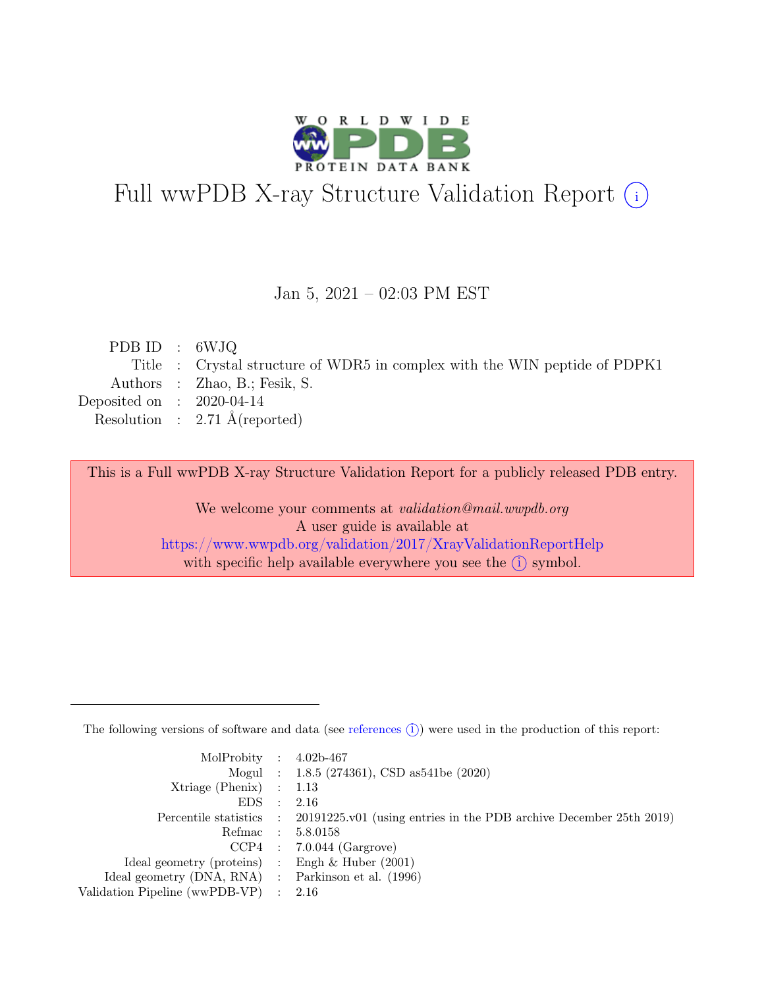

# Full wwPDB X-ray Structure Validation Report  $(i)$

#### Jan 5, 2021 – 02:03 PM EST

| PDB ID : $6WJQ$             |                                                                            |
|-----------------------------|----------------------------------------------------------------------------|
|                             | Title : Crystal structure of WDR5 in complex with the WIN peptide of PDPK1 |
|                             | Authors : Zhao, B.; Fesik, S.                                              |
| Deposited on : $2020-04-14$ |                                                                            |
|                             | Resolution : $2.71 \text{ Å}$ (reported)                                   |
|                             |                                                                            |

This is a Full wwPDB X-ray Structure Validation Report for a publicly released PDB entry.

We welcome your comments at validation@mail.wwpdb.org A user guide is available at <https://www.wwpdb.org/validation/2017/XrayValidationReportHelp> with specific help available everywhere you see the  $(i)$  symbol.

The following versions of software and data (see [references](https://www.wwpdb.org/validation/2017/XrayValidationReportHelp#references)  $(i)$ ) were used in the production of this report:

| MolProbity : $4.02b-467$                            |           |                                                                                            |
|-----------------------------------------------------|-----------|--------------------------------------------------------------------------------------------|
|                                                     |           | Mogul : 1.8.5 (274361), CSD as 541be (2020)                                                |
| Xtriage (Phenix) $: 1.13$                           |           |                                                                                            |
| EDS                                                 | $\cdot$ : | 2.16                                                                                       |
|                                                     |           | Percentile statistics : 20191225.v01 (using entries in the PDB archive December 25th 2019) |
|                                                     |           | Refmac : 5.8.0158                                                                          |
|                                                     |           | $CCP4$ : 7.0.044 (Gargrove)                                                                |
| Ideal geometry (proteins) : Engh $\&$ Huber (2001)  |           |                                                                                            |
| Ideal geometry (DNA, RNA) : Parkinson et al. (1996) |           |                                                                                            |
| Validation Pipeline (wwPDB-VP) : $2.16$             |           |                                                                                            |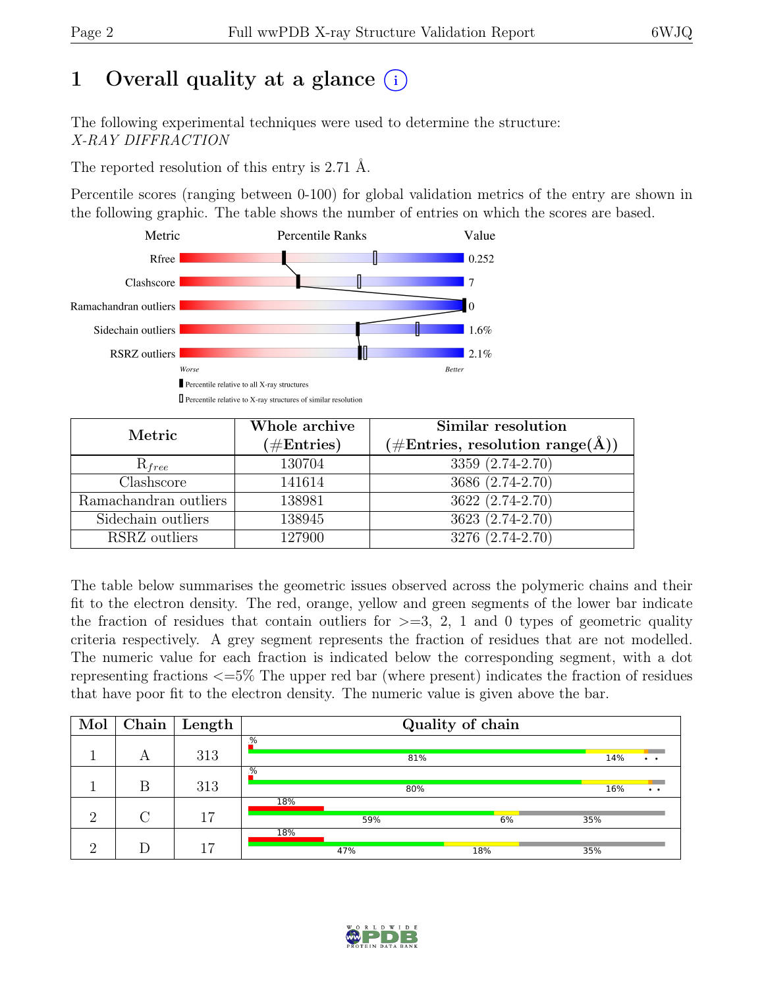# 1 Overall quality at a glance  $(i)$

The following experimental techniques were used to determine the structure: X-RAY DIFFRACTION

The reported resolution of this entry is 2.71 Å.

Percentile scores (ranging between 0-100) for global validation metrics of the entry are shown in the following graphic. The table shows the number of entries on which the scores are based.



| Metric                | Whole archive<br>$(\#Entries)$ | Similar resolution<br>$(\# \text{Entries}, \text{ resolution } \text{range}(\AA))$ |  |  |
|-----------------------|--------------------------------|------------------------------------------------------------------------------------|--|--|
| $R_{free}$            | 130704                         | 3359 (2.74-2.70)                                                                   |  |  |
| Clashscore            | 141614                         | 3686 (2.74-2.70)                                                                   |  |  |
| Ramachandran outliers | 138981                         | $3622 (2.74 - 2.70)$                                                               |  |  |
| Sidechain outliers    | 138945                         | 3623 (2.74-2.70)                                                                   |  |  |
| RSRZ outliers         | 127900                         | 3276 (2.74-2.70)                                                                   |  |  |

The table below summarises the geometric issues observed across the polymeric chains and their fit to the electron density. The red, orange, yellow and green segments of the lower bar indicate the fraction of residues that contain outliers for  $\geq$ =3, 2, 1 and 0 types of geometric quality criteria respectively. A grey segment represents the fraction of residues that are not modelled. The numeric value for each fraction is indicated below the corresponding segment, with a dot representing fractions <=5% The upper red bar (where present) indicates the fraction of residues that have poor fit to the electron density. The numeric value is given above the bar.

| Mol      | Chain              | Length |               | Quality of chain |     |                             |  |  |
|----------|--------------------|--------|---------------|------------------|-----|-----------------------------|--|--|
|          | А                  | 313    | $\frac{9}{6}$ | 81%              |     | 14%<br>$\ddot{\phantom{1}}$ |  |  |
|          | Β                  | 313    | $\frac{9}{6}$ | 80%              |     | 16%<br>$\bullet$ $\bullet$  |  |  |
| $\Omega$ | $\curvearrowright$ | 17     | 18%<br>59%    |                  | 6%  | 35%                         |  |  |
| $\Omega$ |                    | 17     | 18%           | 47%              | 18% | 35%                         |  |  |

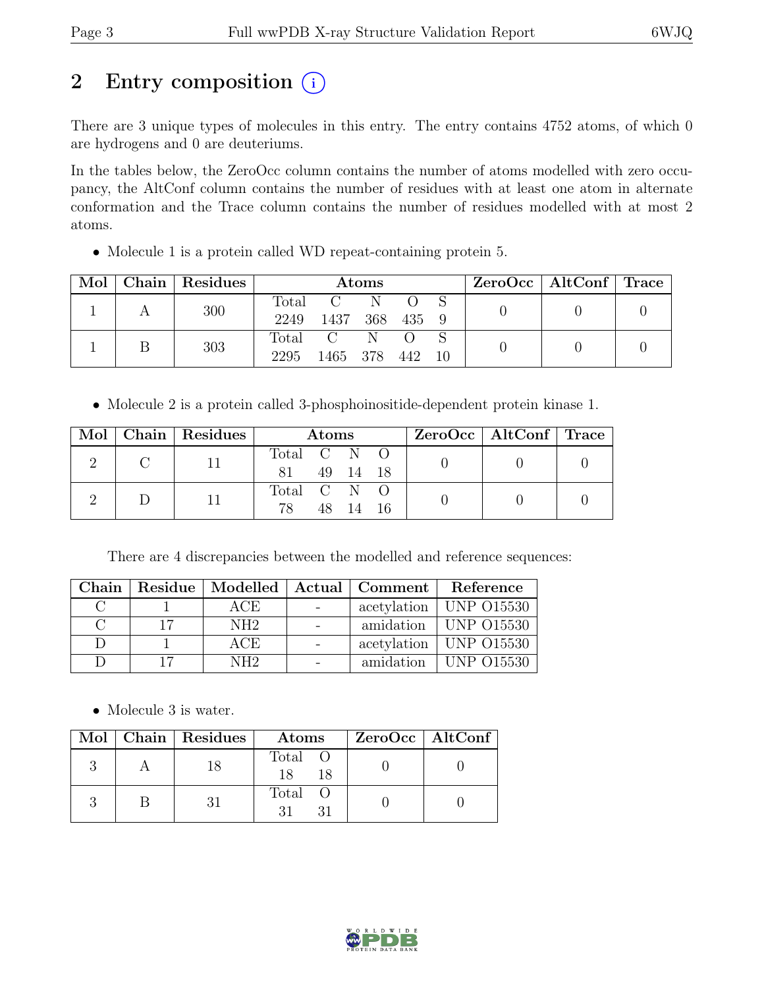# 2 Entry composition  $(i)$

There are 3 unique types of molecules in this entry. The entry contains 4752 atoms, of which 0 are hydrogens and 0 are deuteriums.

In the tables below, the ZeroOcc column contains the number of atoms modelled with zero occupancy, the AltConf column contains the number of residues with at least one atom in alternate conformation and the Trace column contains the number of residues modelled with at most 2 atoms.

• Molecule 1 is a protein called WD repeat-containing protein 5.

| $\text{Mol}$ | Chain Residues | Atoms                  |                      |   |         | $\text{ZeroOcc} \mid \text{AltConf} \mid \text{Trace}$ |  |  |
|--------------|----------------|------------------------|----------------------|---|---------|--------------------------------------------------------|--|--|
|              | 300            | Total<br>2249          | $\mathbf{C}$<br>1437 |   | 368 435 |                                                        |  |  |
|              | 303            | $\text{Total}$<br>2295 | 1465 378             | N | 442     |                                                        |  |  |

• Molecule 2 is a protein called 3-phosphoinositide-dependent protein kinase 1.

|  |  | Mol   Chain   Residues | <b>Atoms</b> |  |          |  | $ZeroOcc \mid AltConf \mid Trace$ |  |
|--|--|------------------------|--------------|--|----------|--|-----------------------------------|--|
|  |  |                        | Total C N O  |  |          |  |                                   |  |
|  |  |                        |              |  | 49 14 18 |  |                                   |  |
|  |  |                        | Total C N O  |  |          |  |                                   |  |
|  |  | 78                     |              |  |          |  |                                   |  |

There are 4 discrepancies between the modelled and reference sequences:

| Chain |                 |            | Residue   Modelled   Actual   Comment | Reference                    |
|-------|-----------------|------------|---------------------------------------|------------------------------|
|       | ACE             | $\sim$ $-$ |                                       | acetylation   UNP 015530     |
|       | NH <sub>2</sub> |            |                                       | amidation   UNP 015530       |
|       | ACE             |            |                                       | acetylation   UNP 015530     |
|       | NH <sub>2</sub> |            |                                       | amidation $\vert$ UNP 015530 |

• Molecule 3 is water.

|  | Mol   Chain   Residues | Atoms               | $ZeroOcc \   \$ AltConf |
|--|------------------------|---------------------|-------------------------|
|  |                        | Total O<br>18<br>18 |                         |
|  |                        | Total O             |                         |

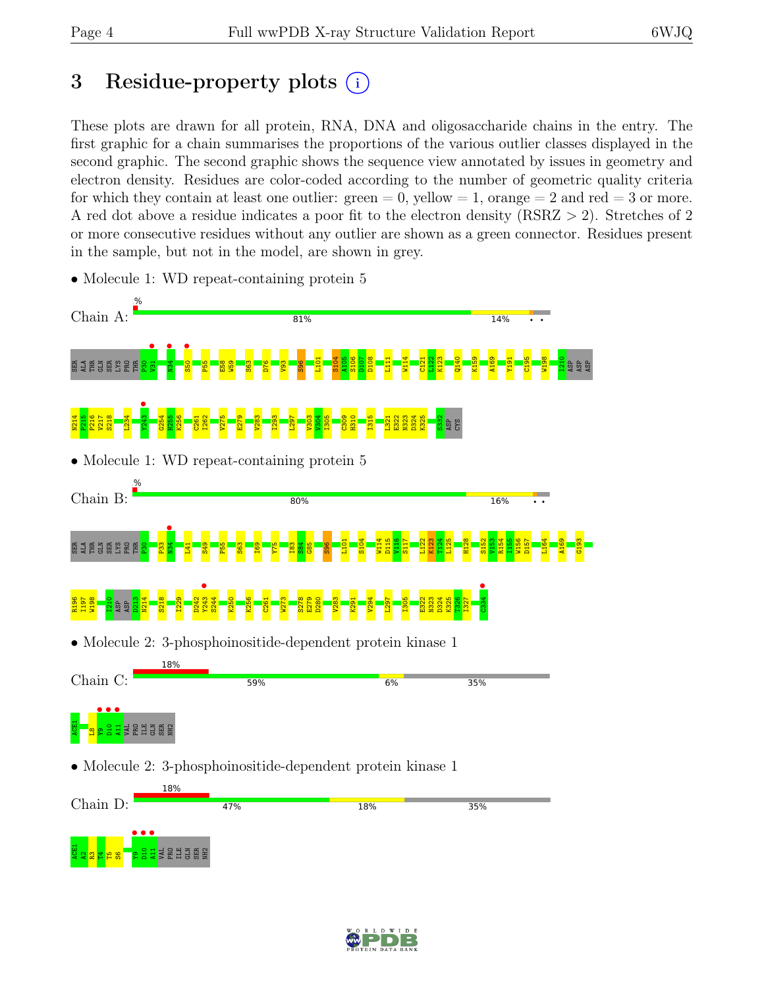## 3 Residue-property plots  $(i)$

These plots are drawn for all protein, RNA, DNA and oligosaccharide chains in the entry. The first graphic for a chain summarises the proportions of the various outlier classes displayed in the second graphic. The second graphic shows the sequence view annotated by issues in geometry and electron density. Residues are color-coded according to the number of geometric quality criteria for which they contain at least one outlier:  $green = 0$ , yellow  $= 1$ , orange  $= 2$  and red  $= 3$  or more. A red dot above a residue indicates a poor fit to the electron density (RSRZ > 2). Stretches of 2 or more consecutive residues without any outlier are shown as a green connector. Residues present in the sample, but not in the model, are shown in grey.



• Molecule 1: WD repeat-containing protein 5

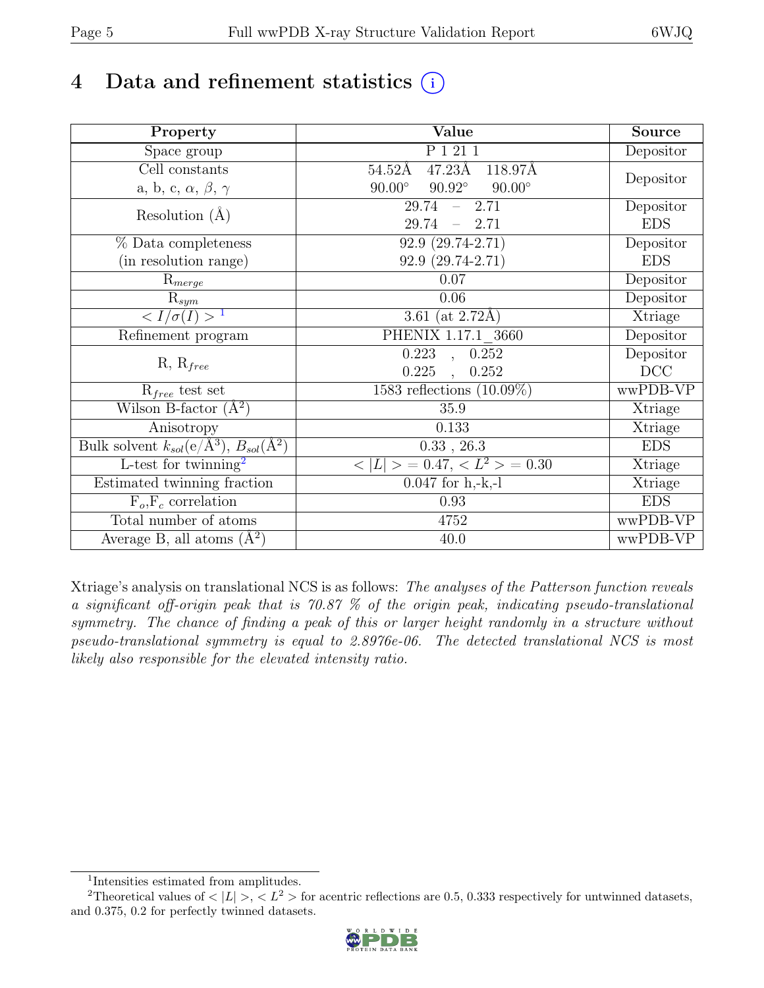# 4 Data and refinement statistics  $(i)$

| Property                                                             | Value                                             | Source     |
|----------------------------------------------------------------------|---------------------------------------------------|------------|
| Space group                                                          | P 1 21 1                                          | Depositor  |
| Cell constants                                                       | $47.23\text{\AA}$<br>$54.52\text{\AA}$<br>118.97Å |            |
| a, b, c, $\alpha$ , $\beta$ , $\gamma$                               | $90.92^\circ$<br>$90.00^\circ$<br>$90.00^\circ$   | Depositor  |
| Resolution $(A)$                                                     | 29.74<br>$-2.71$                                  | Depositor  |
|                                                                      | $29.74 = 2.71$                                    | <b>EDS</b> |
| % Data completeness                                                  | $92.9(29.74-2.71)$                                | Depositor  |
| (in resolution range)                                                | $92.9(29.74-2.71)$                                | <b>EDS</b> |
| $R_{merge}$                                                          | 0.07                                              | Depositor  |
| $\mathrm{R}_{sym}$                                                   | 0.06                                              | Depositor  |
| $\langle I/\sigma(I) \rangle$ <sup>1</sup>                           | $\overline{3.61}$ (at 2.72Å)                      | Xtriage    |
| Refinement program                                                   | PHENIX 1.17.1 3660                                | Depositor  |
|                                                                      | $\overline{0.223}$ ,<br>0.252                     | Depositor  |
| $R, R_{free}$                                                        | 0.225<br>0.252<br>$\ddot{\phantom{0}}$            | DCC        |
| $R_{free}$ test set                                                  | 1583 reflections $(10.09\%)$                      | wwPDB-VP   |
| Wilson B-factor $(A^2)$                                              | 35.9                                              | Xtriage    |
| Anisotropy                                                           | 0.133                                             | Xtriage    |
| Bulk solvent $k_{sol}(e/\mathring{A}^3)$ , $B_{sol}(\mathring{A}^2)$ | $0.33$ , $26.3$                                   | <b>EDS</b> |
| $\overline{\text{L-test}}$ for twinning <sup>2</sup>                 | $< L >$ = 0.47, $< L2 >$ = 0.30                   | Xtriage    |
| Estimated twinning fraction                                          | $0.047$ for h,-k,-l                               | Xtriage    |
| $F_o, F_c$ correlation                                               | 0.93                                              | <b>EDS</b> |
| Total number of atoms                                                | 4752                                              | wwPDB-VP   |
| Average B, all atoms $(A^2)$                                         | 40.0                                              | wwPDB-VP   |

Xtriage's analysis on translational NCS is as follows: The analyses of the Patterson function reveals a significant off-origin peak that is 70.87 % of the origin peak, indicating pseudo-translational symmetry. The chance of finding a peak of this or larger height randomly in a structure without pseudo-translational symmetry is equal to 2.8976e-06. The detected translational NCS is most likely also responsible for the elevated intensity ratio.

<sup>&</sup>lt;sup>2</sup>Theoretical values of  $\langle |L| \rangle$ ,  $\langle L^2 \rangle$  for acentric reflections are 0.5, 0.333 respectively for untwinned datasets, and 0.375, 0.2 for perfectly twinned datasets.



<span id="page-4-1"></span><span id="page-4-0"></span><sup>1</sup> Intensities estimated from amplitudes.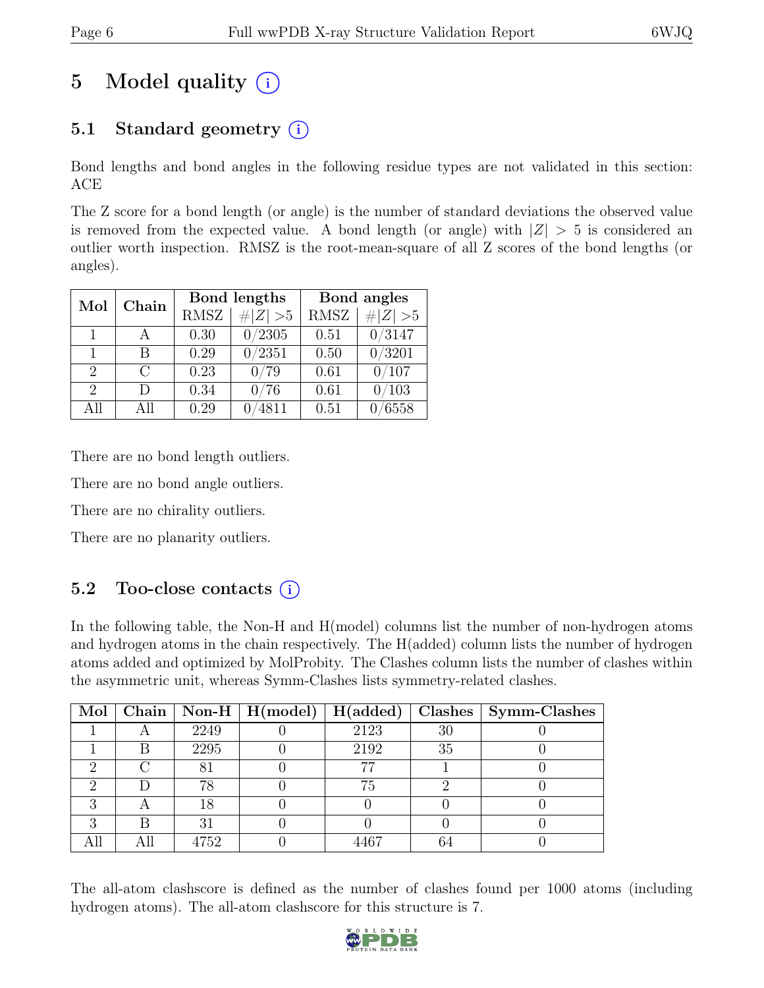# 5 Model quality  $(i)$

### 5.1 Standard geometry  $(i)$

Bond lengths and bond angles in the following residue types are not validated in this section: ACE

The Z score for a bond length (or angle) is the number of standard deviations the observed value is removed from the expected value. A bond length (or angle) with  $|Z| > 5$  is considered an outlier worth inspection. RMSZ is the root-mean-square of all Z scores of the bond lengths (or angles).

| Mol                         | Chain     |             | Bond lengths   | Bond angles |            |  |
|-----------------------------|-----------|-------------|----------------|-------------|------------|--|
|                             |           | <b>RMSZ</b> | # $ Z  > 5$    | <b>RMSZ</b> | H Z <br>>5 |  |
| 1                           |           | 0.30        | 0/2305         | 0.51        | 0/3147     |  |
| 1                           | В         | 0.29        | 0/2351         | 0.50        | /3201      |  |
| $\overline{2}$              | $\bigcap$ | 0.23        | 0/79           | 0.61        | 0/107      |  |
| $\mathcal{D}_{\mathcal{L}}$ | D         | 0.34        | 76<br>$\Omega$ | 0.61        | 0/103      |  |
| ΑH                          | All       | 0.29        | 4811           | 0.51        | 6558       |  |

There are no bond length outliers.

There are no bond angle outliers.

There are no chirality outliers.

There are no planarity outliers.

### 5.2 Too-close contacts (i)

In the following table, the Non-H and H(model) columns list the number of non-hydrogen atoms and hydrogen atoms in the chain respectively. The H(added) column lists the number of hydrogen atoms added and optimized by MolProbity. The Clashes column lists the number of clashes within the asymmetric unit, whereas Symm-Clashes lists symmetry-related clashes.

|  |      | Mol   Chain   Non-H   H(model)   H(added) |      |    | Clashes   Symm-Clashes |
|--|------|-------------------------------------------|------|----|------------------------|
|  | 2249 |                                           | 2123 | 30 |                        |
|  | 2295 |                                           | 2192 | 35 |                        |
|  |      |                                           |      |    |                        |
|  | 78   |                                           | 75   |    |                        |
|  | 18   |                                           |      |    |                        |
|  |      |                                           |      |    |                        |
|  | 4752 |                                           |      |    |                        |

The all-atom clashscore is defined as the number of clashes found per 1000 atoms (including hydrogen atoms). The all-atom clashscore for this structure is 7.

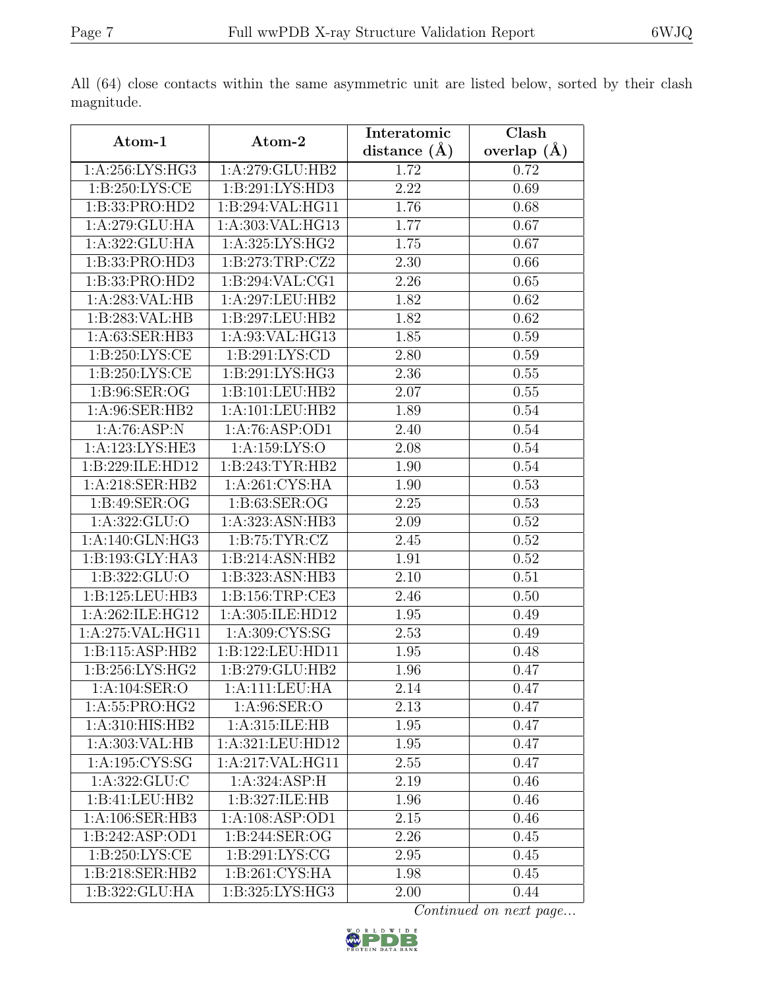| Atom-1                         |                     | Interatomic      | Clash         |
|--------------------------------|---------------------|------------------|---------------|
|                                | Atom-2              | distance $(\AA)$ | overlap $(A)$ |
| 1:A:256:LYS:HG3                | 1:A:279:GLU:HB2     | 1.72             | 0.72          |
| 1: B:250: LYS:CE               | 1:B:291:LYS:HD3     | 2.22             | 0.69          |
| 1:B:33:PRO:HD2                 | 1:B:294:VAL:HG11    | 1.76             | 0.68          |
| 1:A:279:GLU:HA                 | 1:A:303:VAL:HG13    | 1.77             | 0.67          |
| 1:A:322:GLU:HA                 | 1: A:325: LYS: HG2  | 1.75             | 0.67          |
| 1:B:33:PRO:HD3                 | 1: B:273:TRP: CZ2   | 2.30             | 0.66          |
| 1:B:33:PRO:HD2                 | 1:B:294:VAL:CG1     | 2.26             | 0.65          |
| 1:A:283:VAL:HB                 | 1:A:297:LEU:HB2     | 1.82             | 0.62          |
| 1:B:283:VAL:HB                 | 1:B:297:LEU:HB2     | 1.82             | 0.62          |
| 1:A:63:SER:HB3                 | 1:A:93:VAL:HG13     | 1.85             | 0.59          |
| 1: B:250: LYS: CE              | 1: B:291: LYS:CD    | 2.80             | 0.59          |
| 1: B:250: LYS:CE               | 1: B:291: LYS: HG3  | 2.36             | $0.55\,$      |
| 1:B:96:SER:OG                  | 1:B:101:LEU:HB2     | 2.07             | 0.55          |
| 1: A:96: SER: HB2              | 1:A:101:LEU:HB2     | 1.89             | 0.54          |
| 1:A:76:ASP:N                   | 1:A:76:ASP:OD1      | 2.40             | 0.54          |
| 1:A:123:LYS:HE3                | 1:A:159:LYS:O       | 2.08             | 0.54          |
| 1:B:229:ILE:HD12               | 1:B:243:TYR:HB2     | 1.90             | 0.54          |
| 1:A:218:SER:HB2                | 1:A:261:CYS:HA      | 1.90             | 0.53          |
| 1:B:49:SER:OG                  | 1:B:63:SER:OG       | 2.25             | 0.53          |
| 1:A:322:GLU:O                  | 1:A:323:ASN:HB3     | 2.09             | $0.52\,$      |
| 1: A:140: GLN: HG3             | 1: B: 75: TYR: CZ   | 2.45             | 0.52          |
| 1:B:193:GLY:HA3                | 1:B:214:ASN:HB2     | 1.91             | 0.52          |
| 1:B:322:GLU:O                  | 1:B:323:ASN:HB3     | 2.10             | 0.51          |
| 1:B:125:LEU:HB3                | 1: B: 156: TRP: CE3 | 2.46             | 0.50          |
| 1:A:262:ILE:HG12               | 1:A:305:ILE:HD12    | 1.95             | 0.49          |
| 1:A:275:VAL:HG11               | 1: A:309: CYS:SG    | 2.53             | 0.49          |
| 1: B:115: ASP:HB2              | 1:B:122:LEU:HD11    | 1.95             | 0.48          |
| $1: B:256: LY\overline{S:HG2}$ | 1:B:279:GLU:HB2     | 1.96             | 0.47          |
| 1:A:104:SER:O                  | 1:A:111:LEU:HA      | 2.14             | 0.47          |
| 1:A:55:PRO:HG2                 | 1:A:96:SER:O        | 2.13             | 0.47          |
| 1:A:310:HIS:HB2                | 1:A:315:ILE:HB      | 1.95             | 0.47          |
| 1:A:303:VAL:HB                 | 1:A:321:LEU:HD12    | 1.95             | 0.47          |
| 1: A: 195: CYS:SG              | 1:A:217:VAL:HG11    | 2.55             | 0.47          |
| 1: A: 322: GLU: C              | 1:A:324:ASP:H       | 2.19             | 0.46          |
| 1:B:41:LEU:HB2                 | 1:B:327:ILE:HB      | 1.96             | 0.46          |
| 1:A:106:SER:HB3                | 1:A:108:ASP:OD1     | 2.15             | 0.46          |
| 1:B:242:ASP:OD1                | 1:B:244:SER:OG      | 2.26             | 0.45          |
| 1:B:250:LYS:CE                 | 1: B:291: LYS: CG   | 2.95             | 0.45          |
| 1: B:218: SER: HB2             | 1: B:261: CYS:HA    | 1.98             | 0.45          |
| 1:B:322:GLU:HA                 | 1:B:325:LYS:HG3     | 2.00             | 0.44          |

All (64) close contacts within the same asymmetric unit are listed below, sorted by their clash magnitude.

Continued on next page...

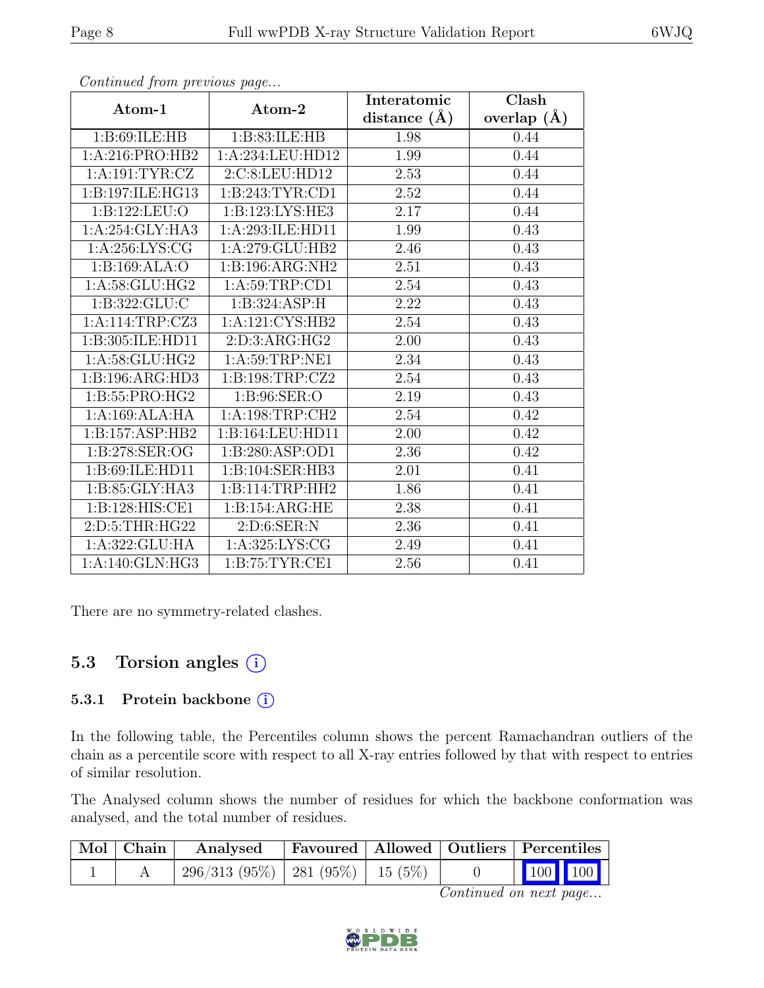| Atom-1                        | Atom-2              | Interatomic      | Clash           |  |
|-------------------------------|---------------------|------------------|-----------------|--|
|                               |                     | distance $(\AA)$ | overlap $(\AA)$ |  |
| 1:B:69:ILE:HB                 | 1:B:83:ILE:HB       | 1.98             | 0.44            |  |
| 1:A:216:PRO:HB2               | 1:A:234:LEU:HD12    | 1.99             | 0.44            |  |
| 1:A:191:TYR:CZ                | 2:C:8:LEU:HD12      | 2.53             | 0.44            |  |
| 1:B:197:ILE:HG13              | 1:B:243:TYR:CD1     | $2.52\,$         | 0.44            |  |
| 1:B:122:LEU:O                 | 1:B:123:LYS:HE3     | 2.17             | 0.44            |  |
| 1:A:254:GLY:HA3               | 1:A:293:ILE:HD11    | 1.99             | 0.43            |  |
| 1:A:256:LYS:CG                | 1: A:279: GLU:HB2   | 2.46             | 0.43            |  |
| 1:B:169:ALA:O                 | 1:B:196:ARG:NH2     | 2.51             | 0.43            |  |
| 1: A:58: GLU:HG2              | 1: A:59:TRP:CD1     | 2.54             | 0.43            |  |
| 1:B:322:GLU:C                 | 1:B:324:ASP:H       | 2.22             | 0.43            |  |
| 1:A:114:TRP:CZ3               | 1:A:121:CYS:HB2     | 2.54             | 0.43            |  |
| 1:B:305:ILE:HD11              | 2:D:3:ARG:HG2       | 2.00             | 0.43            |  |
| 1:A:58:GLU:HG2                | 1:A:59:TRP:NE1      | 2.34             | 0.43            |  |
| 1:B:196:ARG:HD3               | 1:B:198:TRP:CZ2     | 2.54             | 0.43            |  |
| $1: B:55: PRO:H\overline{G2}$ | 1:B:96:SER:O        | 2.19             | 0.43            |  |
| 1:A:169:ALA:HA                | 1:A:198:TRP:CH2     | 2.54             | 0.42            |  |
| 1:B:157:ASP:HB2               | 1:B:164:LEU:HD11    | 2.00             | 0.42            |  |
| 1:B:278:SER:OG                | 1:B:280:ASP:OD1     | 2.36             | 0.42            |  |
| 1:B:69:ILE:HD11               | 1:B:104:SER:HB3     | 2.01             | 0.41            |  |
| 1: B:85: GLY:HA3              | 1: B: 114: TRP: HH2 | 1.86             | 0.41            |  |
| 1:B:128:HIS:CE1               | 1:B:154:ARG:HE      | 2.38             | 0.41            |  |
| 2: D:5: THR: HG22             | 2:D:6:SER:N         | 2.36             | 0.41            |  |
| 1:A:322:GLU:HA                | 1: A:325: LYS: CG   | 2.49             | 0.41            |  |
| 1:A:140:GLN:HG3               | 1:B:75:TYR:CE1      | 2.56             | 0.41            |  |

Continued from previous page...

There are no symmetry-related clashes.

### 5.3 Torsion angles  $(i)$

#### 5.3.1 Protein backbone  $(i)$

In the following table, the Percentiles column shows the percent Ramachandran outliers of the chain as a percentile score with respect to all X-ray entries followed by that with respect to entries of similar resolution.

The Analysed column shows the number of residues for which the backbone conformation was analysed, and the total number of residues.

| $\vert$ Mol $\vert$ Chain $\vert$ | Analysed                              |  | Favoured   Allowed   Outliers   Percentiles |
|-----------------------------------|---------------------------------------|--|---------------------------------------------|
|                                   | $296/313$ (95%)   281 (95%)   15 (5%) |  | 100 100                                     |

Continued on next page...

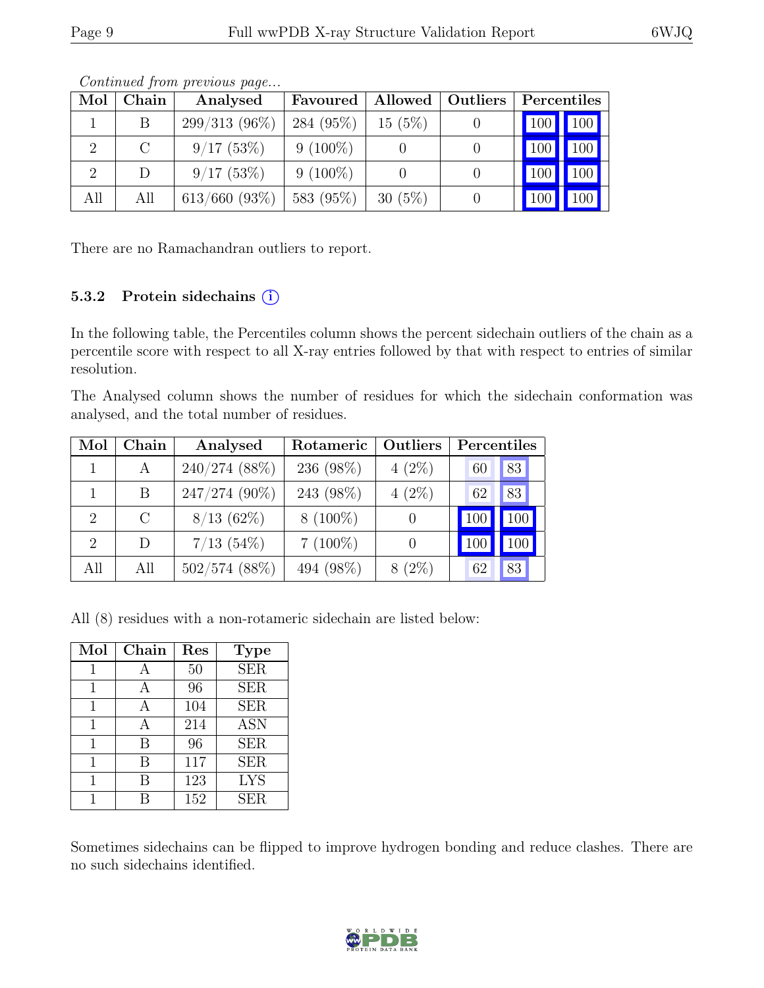| Mol | Chain                       | Analysed         | Favoured   | Allowed   | Outliers | Percentiles         |             |
|-----|-----------------------------|------------------|------------|-----------|----------|---------------------|-------------|
|     |                             | $299/313(96\%)$  | 284 (95%)  | $15(5\%)$ |          | $\vert$ 100 $\vert$ | $\vert$ 100 |
|     | $\mathcal{C}_{\mathcal{C}}$ | 9/17(53%)        | $9(100\%)$ |           |          | $\overline{100}$    | 100         |
|     | D                           | 9/17(53%)        | $9(100\%)$ |           |          | 100                 | 100         |
| All | All                         | $613/660$ (93\%) | 583 (95%)  | $30(5\%)$ |          |                     | 100         |

Continued from previous page...

There are no Ramachandran outliers to report.

#### 5.3.2 Protein sidechains (i)

In the following table, the Percentiles column shows the percent sidechain outliers of the chain as a percentile score with respect to all X-ray entries followed by that with respect to entries of similar resolution.

The Analysed column shows the number of residues for which the sidechain conformation was analysed, and the total number of residues.

| Mol                         | Chain   | Analysed        | Rotameric  | Outliers | Percentiles |     |
|-----------------------------|---------|-----------------|------------|----------|-------------|-----|
|                             | A       | 240/274 (88%)   | 236 (98%)  | $4(2\%)$ | 60          | 83  |
|                             | B       | 247/274 (90%)   | 243 (98%)  | $(2\%)$  | 62          | 83  |
| $\mathcal{D}_{\mathcal{L}}$ | $\rm C$ | $8/13(62\%)$    | $8(100\%)$ |          | 100         | 100 |
| $\mathcal{D}_{\mathcal{L}}$ | D       | $7/13$ (54\%)   | $7(100\%)$ |          |             |     |
| All                         | All     | $502/574$ (88%) | 494 (98%)  | $8(2\%)$ | 62          | 83  |

All (8) residues with a non-rotameric sidechain are listed below:

| Mol | Chain | Res | <b>Type</b>             |
|-----|-------|-----|-------------------------|
|     |       | 50  | $\overline{\text{SER}}$ |
| 1   | A     | 96  | <b>SER</b>              |
| 1   | А     | 104 | <b>SER</b>              |
| 1   | А     | 214 | <b>ASN</b>              |
| 1   | B     | 96  | <b>SER</b>              |
| 1   | В     | 117 | <b>SER</b>              |
| 1   | R     | 123 | <b>LYS</b>              |
|     |       | 152 | <b>SER</b>              |

Sometimes sidechains can be flipped to improve hydrogen bonding and reduce clashes. There are no such sidechains identified.

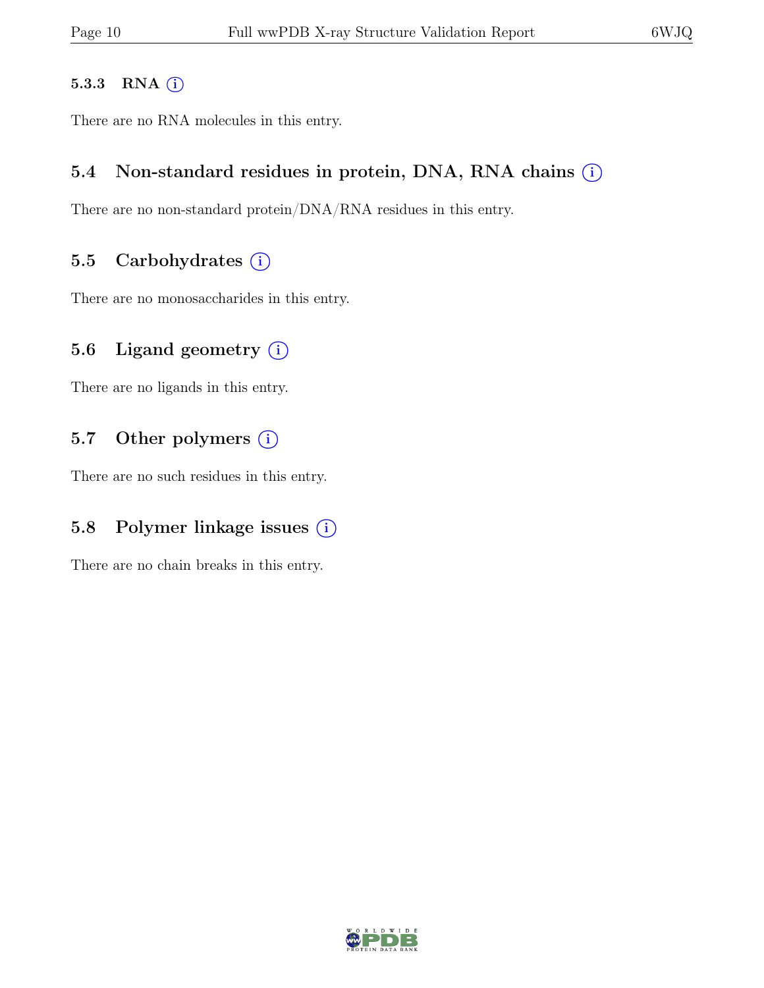#### 5.3.3 RNA  $(i)$

There are no RNA molecules in this entry.

#### 5.4 Non-standard residues in protein, DNA, RNA chains  $(i)$

There are no non-standard protein/DNA/RNA residues in this entry.

#### 5.5 Carbohydrates  $(i)$

There are no monosaccharides in this entry.

#### 5.6 Ligand geometry  $(i)$

There are no ligands in this entry.

#### 5.7 Other polymers  $(i)$

There are no such residues in this entry.

#### 5.8 Polymer linkage issues  $(i)$

There are no chain breaks in this entry.

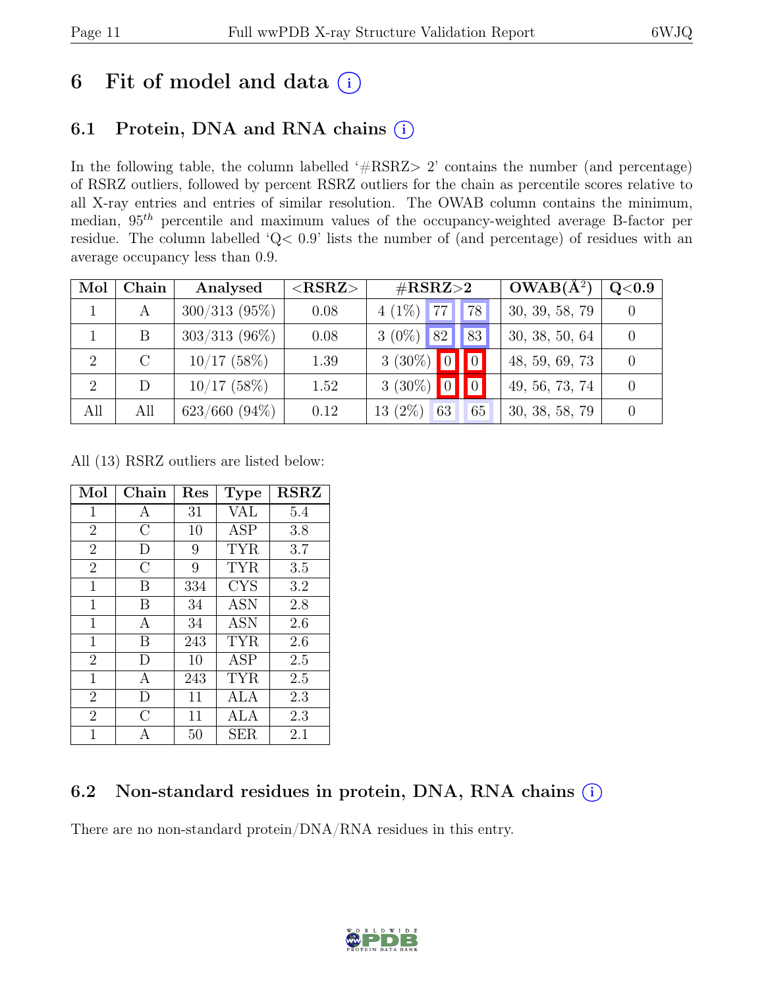## 6 Fit of model and data  $(i)$

### 6.1 Protein, DNA and RNA chains  $(i)$

In the following table, the column labelled ' $\#\text{RSRZ}>2$ ' contains the number (and percentage) of RSRZ outliers, followed by percent RSRZ outliers for the chain as percentile scores relative to all X-ray entries and entries of similar resolution. The OWAB column contains the minimum, median,  $95<sup>th</sup>$  percentile and maximum values of the occupancy-weighted average B-factor per residue. The column labelled 'Q< 0.9' lists the number of (and percentage) of residues with an average occupancy less than 0.9.

| Mol            | Chain | Analysed         | $<$ RSRZ $>$ | $\#\text{RSRZ}\text{>2}$                            | $OWAB(A^2)$    | Q <sub>0.9</sub> |
|----------------|-------|------------------|--------------|-----------------------------------------------------|----------------|------------------|
|                |       | $300/313(95\%)$  | 0.08         | $\cdot$ 177 $\cdot$<br>$4(1\%)$<br>'78 <sub>1</sub> | 30, 39, 58, 79 |                  |
|                | B     | $303/313$ (96%)  | 0.08         | 82<br>83<br>$3(0\%)$                                | 30, 38, 50, 64 |                  |
| $\overline{2}$ |       | $10/17$ (58%)    | 1.39         | $3(30\%)$ 0                                         | 48, 59, 69, 73 |                  |
| $\overline{2}$ | D     | $10/17$ (58%)    | 1.52         | $3(30\%)$ 0                                         | 49, 56, 73, 74 |                  |
| All            | All   | $623/660 (94\%)$ | 0.12         | $13(2\%)$<br>63<br>65                               | 30, 38, 58, 79 |                  |

All (13) RSRZ outliers are listed below:

| Mol            | Chain          | Res | <b>Type</b> | <b>RSRZ</b> |
|----------------|----------------|-----|-------------|-------------|
| $\mathbf 1$    | А              | 31  | <b>VAL</b>  | 5.4         |
| $\overline{2}$ | $\overline{C}$ | 10  | <b>ASP</b>  | 3.8         |
| $\overline{2}$ | D              | 9   | <b>TYR</b>  | 3.7         |
| $\overline{2}$ | С              | 9   | <b>TYR</b>  | 3.5         |
| $\mathbf{1}$   | В              | 334 | <b>CYS</b>  | 3.2         |
| $\mathbf 1$    | В              | 34  | <b>ASN</b>  | 2.8         |
| $\mathbf 1$    | А              | 34  | <b>ASN</b>  | 2.6         |
| $\mathbf{1}$   | B              | 243 | <b>TYR</b>  | 2.6         |
| $\overline{2}$ | D              | 10  | <b>ASP</b>  | $2.5\,$     |
| $\mathbf{1}$   | А              | 243 | <b>TYR</b>  | 2.5         |
| $\overline{2}$ | D              | 11  | ALA         | 2.3         |
| $\overline{2}$ | C              | 11  | ALA         | 2.3         |
| 1              | А              | 50  | <b>SER</b>  | 2.1         |

### 6.2 Non-standard residues in protein, DNA, RNA chains (i)

There are no non-standard protein/DNA/RNA residues in this entry.